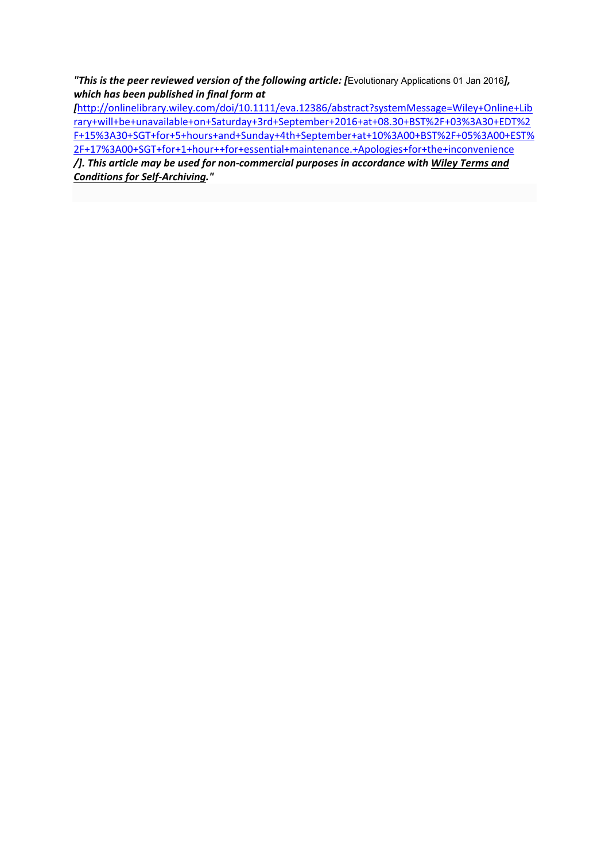*"This is the peer reviewed version of the following article: [*Evolutionary Applications 01 Jan 2016*], which has been published in final form at* 

*[*http://onlinelibrary.wiley.com/doi/10.1111/eva.12386/abstract?systemMessage=Wiley+Online+Lib rary+will+be+unavailable+on+Saturday+3rd+September+2016+at+08.30+BST%2F+03%3A30+EDT%2 F+15%3A30+SGT+for+5+hours+and+Sunday+4th+September+at+10%3A00+BST%2F+05%3A00+EST% 2F+17%3A00+SGT+for+1+hour++for+essential+maintenance.+Apologies+for+the+inconvenience

*/]. This article may be used for non‐commercial purposes in accordance with Wiley Terms and Conditions for Self‐Archiving."*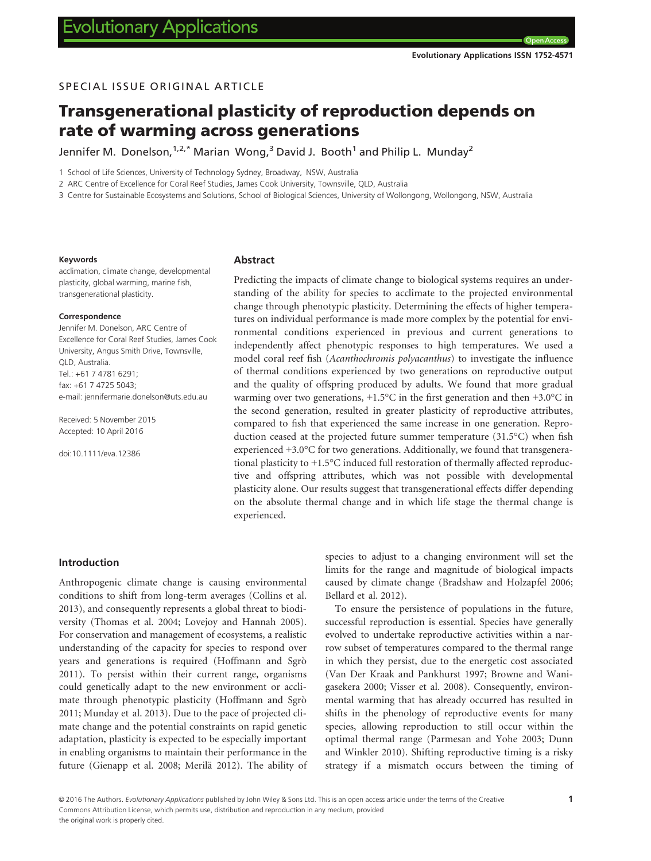# SPECIAL ISSUE ORIGINAL ARTICLE

# Transgenerational plasticity of reproduction depends on rate of warming across generations

Jennifer M. Donelson,  $1.2$ ,\* Marian Wong, $3$  David J. Booth<sup>1</sup> and Philip L. Mundav<sup>2</sup>

1 School of Life Sciences, University of Technology Sydney, Broadway, NSW, Australia

2 ARC Centre of Excellence for Coral Reef Studies, James Cook University, Townsville, QLD, Australia

3 Centre for Sustainable Ecosystems and Solutions, School of Biological Sciences, University of Wollongong, Wollongong, NSW, Australia

#### Keywords

acclimation, climate change, developmental plasticity, global warming, marine fish, transgenerational plasticity.

#### Correspondence

Jennifer M. Donelson, ARC Centre of Excellence for Coral Reef Studies, James Cook University, Angus Smith Drive, Townsville, QLD, Australia. Tel.: +61 7 4781 6291; fax: +61 7 4725 5043; e-mail: jennifermarie.donelson@uts.edu.au

Received: 5 November 2015 Accepted: 10 April 2016

doi:10.1111/eva.12386

#### Abstract

Predicting the impacts of climate change to biological systems requires an understanding of the ability for species to acclimate to the projected environmental change through phenotypic plasticity. Determining the effects of higher temperatures on individual performance is made more complex by the potential for environmental conditions experienced in previous and current generations to independently affect phenotypic responses to high temperatures. We used a model coral reef fish (Acanthochromis polyacanthus) to investigate the influence of thermal conditions experienced by two generations on reproductive output and the quality of offspring produced by adults. We found that more gradual warming over two generations,  $+1.5^{\circ}$ C in the first generation and then  $+3.0^{\circ}$ C in the second generation, resulted in greater plasticity of reproductive attributes, compared to fish that experienced the same increase in one generation. Reproduction ceased at the projected future summer temperature (31.5°C) when fish experienced +3.0°C for two generations. Additionally, we found that transgenerational plasticity to +1.5°C induced full restoration of thermally affected reproductive and offspring attributes, which was not possible with developmental plasticity alone. Our results suggest that transgenerational effects differ depending on the absolute thermal change and in which life stage the thermal change is experienced.

## Introduction

Anthropogenic climate change is causing environmental conditions to shift from long-term averages (Collins et al. 2013), and consequently represents a global threat to biodiversity (Thomas et al. 2004; Lovejoy and Hannah 2005). For conservation and management of ecosystems, a realistic understanding of the capacity for species to respond over years and generations is required (Hoffmann and Sgrò 2011). To persist within their current range, organisms could genetically adapt to the new environment or acclimate through phenotypic plasticity (Hoffmann and Sgrò 2011; Munday et al. 2013). Due to the pace of projected climate change and the potential constraints on rapid genetic adaptation, plasticity is expected to be especially important in enabling organisms to maintain their performance in the future (Gienapp et al. 2008; Merilä 2012). The ability of species to adjust to a changing environment will set the limits for the range and magnitude of biological impacts caused by climate change (Bradshaw and Holzapfel 2006; Bellard et al. 2012).

To ensure the persistence of populations in the future, successful reproduction is essential. Species have generally evolved to undertake reproductive activities within a narrow subset of temperatures compared to the thermal range in which they persist, due to the energetic cost associated (Van Der Kraak and Pankhurst 1997; Browne and Wanigasekera 2000; Visser et al. 2008). Consequently, environmental warming that has already occurred has resulted in shifts in the phenology of reproductive events for many species, allowing reproduction to still occur within the optimal thermal range (Parmesan and Yohe 2003; Dunn and Winkler 2010). Shifting reproductive timing is a risky strategy if a mismatch occurs between the timing of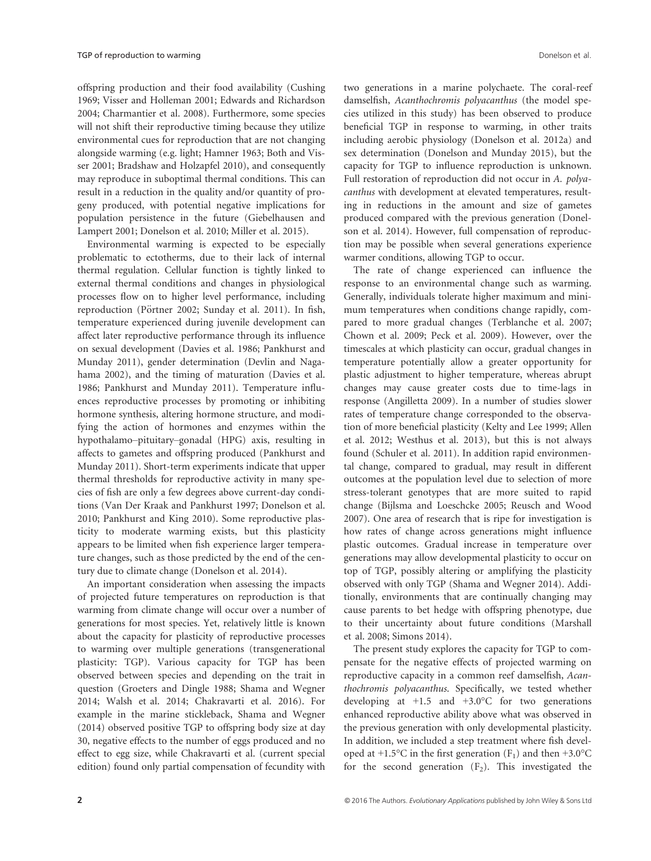offspring production and their food availability (Cushing 1969; Visser and Holleman 2001; Edwards and Richardson 2004; Charmantier et al. 2008). Furthermore, some species will not shift their reproductive timing because they utilize environmental cues for reproduction that are not changing alongside warming (e.g. light; Hamner 1963; Both and Visser 2001; Bradshaw and Holzapfel 2010), and consequently may reproduce in suboptimal thermal conditions. This can result in a reduction in the quality and/or quantity of progeny produced, with potential negative implications for population persistence in the future (Giebelhausen and Lampert 2001; Donelson et al. 2010; Miller et al. 2015).

Environmental warming is expected to be especially problematic to ectotherms, due to their lack of internal thermal regulation. Cellular function is tightly linked to external thermal conditions and changes in physiological processes flow on to higher level performance, including reproduction (Pörtner 2002; Sunday et al. 2011). In fish, temperature experienced during juvenile development can affect later reproductive performance through its influence on sexual development (Davies et al. 1986; Pankhurst and Munday 2011), gender determination (Devlin and Nagahama 2002), and the timing of maturation (Davies et al. 1986; Pankhurst and Munday 2011). Temperature influences reproductive processes by promoting or inhibiting hormone synthesis, altering hormone structure, and modifying the action of hormones and enzymes within the hypothalamo–pituitary–gonadal (HPG) axis, resulting in affects to gametes and offspring produced (Pankhurst and Munday 2011). Short-term experiments indicate that upper thermal thresholds for reproductive activity in many species of fish are only a few degrees above current-day conditions (Van Der Kraak and Pankhurst 1997; Donelson et al. 2010; Pankhurst and King 2010). Some reproductive plasticity to moderate warming exists, but this plasticity appears to be limited when fish experience larger temperature changes, such as those predicted by the end of the century due to climate change (Donelson et al. 2014).

An important consideration when assessing the impacts of projected future temperatures on reproduction is that warming from climate change will occur over a number of generations for most species. Yet, relatively little is known about the capacity for plasticity of reproductive processes to warming over multiple generations (transgenerational plasticity: TGP). Various capacity for TGP has been observed between species and depending on the trait in question (Groeters and Dingle 1988; Shama and Wegner 2014; Walsh et al. 2014; Chakravarti et al. 2016). For example in the marine stickleback, Shama and Wegner (2014) observed positive TGP to offspring body size at day 30, negative effects to the number of eggs produced and no effect to egg size, while Chakravarti et al. (current special edition) found only partial compensation of fecundity with

two generations in a marine polychaete. The coral-reef damselfish, Acanthochromis polyacanthus (the model species utilized in this study) has been observed to produce beneficial TGP in response to warming, in other traits including aerobic physiology (Donelson et al. 2012a) and sex determination (Donelson and Munday 2015), but the capacity for TGP to influence reproduction is unknown. Full restoration of reproduction did not occur in A. polyacanthus with development at elevated temperatures, resulting in reductions in the amount and size of gametes produced compared with the previous generation (Donelson et al. 2014). However, full compensation of reproduction may be possible when several generations experience warmer conditions, allowing TGP to occur.

The rate of change experienced can influence the response to an environmental change such as warming. Generally, individuals tolerate higher maximum and minimum temperatures when conditions change rapidly, compared to more gradual changes (Terblanche et al. 2007; Chown et al. 2009; Peck et al. 2009). However, over the timescales at which plasticity can occur, gradual changes in temperature potentially allow a greater opportunity for plastic adjustment to higher temperature, whereas abrupt changes may cause greater costs due to time-lags in response (Angilletta 2009). In a number of studies slower rates of temperature change corresponded to the observation of more beneficial plasticity (Kelty and Lee 1999; Allen et al. 2012; Westhus et al. 2013), but this is not always found (Schuler et al. 2011). In addition rapid environmental change, compared to gradual, may result in different outcomes at the population level due to selection of more stress-tolerant genotypes that are more suited to rapid change (Bijlsma and Loeschcke 2005; Reusch and Wood 2007). One area of research that is ripe for investigation is how rates of change across generations might influence plastic outcomes. Gradual increase in temperature over generations may allow developmental plasticity to occur on top of TGP, possibly altering or amplifying the plasticity observed with only TGP (Shama and Wegner 2014). Additionally, environments that are continually changing may cause parents to bet hedge with offspring phenotype, due to their uncertainty about future conditions (Marshall et al. 2008; Simons 2014).

The present study explores the capacity for TGP to compensate for the negative effects of projected warming on reproductive capacity in a common reef damselfish, Acanthochromis polyacanthus. Specifically, we tested whether developing at  $+1.5$  and  $+3.0$ °C for two generations enhanced reproductive ability above what was observed in the previous generation with only developmental plasticity. In addition, we included a step treatment where fish developed at +1.5 $\degree$ C in the first generation (F<sub>1</sub>) and then +3.0 $\degree$ C for the second generation  $(F_2)$ . This investigated the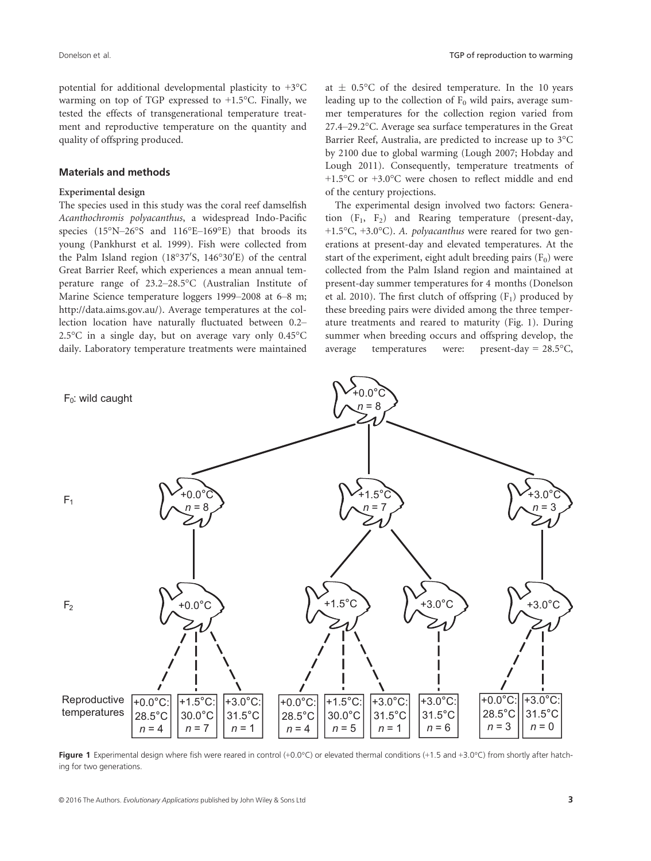potential for additional developmental plasticity to +3°C warming on top of TGP expressed to  $+1.5$ °C. Finally, we tested the effects of transgenerational temperature treatment and reproductive temperature on the quantity and quality of offspring produced.

## Materials and methods

#### Experimental design

The species used in this study was the coral reef damselfish Acanthochromis polyacanthus, a widespread Indo-Pacific species (15°N–26°S and 116°E–169°E) that broods its young (Pankhurst et al. 1999). Fish were collected from the Palm Island region  $(18^{\circ}37^{\prime}S, 146^{\circ}30^{\prime}E)$  of the central Great Barrier Reef, which experiences a mean annual temperature range of 23.2–28.5°C (Australian Institute of Marine Science temperature loggers 1999–2008 at 6–8 m; [http://data.aims.gov.au/\)](http://data.aims.gov.au/). Average temperatures at the collection location have naturally fluctuated between 0.2– 2.5°C in a single day, but on average vary only 0.45°C daily. Laboratory temperature treatments were maintained

at  $\pm$  0.5°C of the desired temperature. In the 10 years leading up to the collection of  $F_0$  wild pairs, average summer temperatures for the collection region varied from 27.4–29.2°C. Average sea surface temperatures in the Great Barrier Reef, Australia, are predicted to increase up to 3°C by 2100 due to global warming (Lough 2007; Hobday and Lough 2011). Consequently, temperature treatments of +1.5°C or +3.0°C were chosen to reflect middle and end of the century projections.

The experimental design involved two factors: Generation  $(F_1, F_2)$  and Rearing temperature (present-day, <sup>+</sup>1.5°C, <sup>+</sup>3.0°C). A. polyacanthus were reared for two generations at present-day and elevated temperatures. At the start of the experiment, eight adult breeding pairs  $(F_0)$  were collected from the Palm Island region and maintained at present-day summer temperatures for 4 months (Donelson et al. 2010). The first clutch of offspring  $(F_1)$  produced by these breeding pairs were divided among the three temperature treatments and reared to maturity (Fig. 1). During summer when breeding occurs and offspring develop, the average temperatures were: present-day = 28.5°C,



Figure 1 Experimental design where fish were reared in control  $(+0.0\degree C)$  or elevated thermal conditions  $(+1.5$  and  $+3.0\degree C)$  from shortly after hatching for two generations.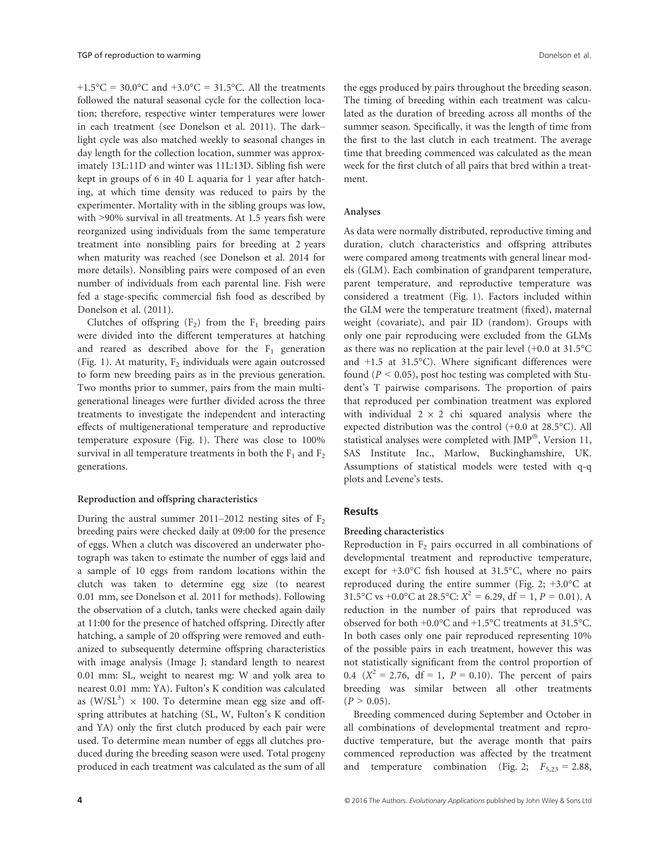+1.5°C = 30.0°C and +3.0°C = 31.5°C. All the treatments followed the natural seasonal cycle for the collection location; therefore, respective winter temperatures were lower in each treatment (see Donelson et al. 2011). The dark– light cycle was also matched weekly to seasonal changes in day length for the collection location, summer was approximately 13L:11D and winter was 11L:13D. Sibling fish were kept in groups of 6 in 40 L aquaria for 1 year after hatching, at which time density was reduced to pairs by the experimenter. Mortality with in the sibling groups was low, with >90% survival in all treatments. At 1.5 years fish were reorganized using individuals from the same temperature treatment into nonsibling pairs for breeding at 2 years when maturity was reached (see Donelson et al. 2014 for more details). Nonsibling pairs were composed of an even number of individuals from each parental line. Fish were fed a stage-specific commercial fish food as described by Donelson et al. (2011).

Clutches of offspring  $(F_2)$  from the  $F_1$  breeding pairs were divided into the different temperatures at hatching and reared as described above for the  $F_1$  generation (Fig. 1). At maturity,  $F_2$  individuals were again outcrossed to form new breeding pairs as in the previous generation. Two months prior to summer, pairs from the main multigenerational lineages were further divided across the three treatments to investigate the independent and interacting effects of multigenerational temperature and reproductive temperature exposure (Fig. 1). There was close to 100% survival in all temperature treatments in both the  $F_1$  and  $F_2$ generations.

#### Reproduction and offspring characteristics

During the austral summer 2011–2012 nesting sites of  $F_2$ breeding pairs were checked daily at 09:00 for the presence of eggs. When a clutch was discovered an underwater photograph was taken to estimate the number of eggs laid and a sample of 10 eggs from random locations within the clutch was taken to determine egg size (to nearest 0.01 mm, see Donelson et al. 2011 for methods). Following the observation of a clutch, tanks were checked again daily at 11:00 for the presence of hatched offspring. Directly after hatching, a sample of 20 offspring were removed and euthanized to subsequently determine offspring characteristics with image analysis (Image J; standard length to nearest 0.01 mm: SL, weight to nearest mg: W and yolk area to nearest 0.01 mm: YA). Fulton's K condition was calculated as  $(W/SL^3) \times 100$ . To determine mean egg size and offspring attributes at hatching (SL, W, Fulton's K condition and YA) only the first clutch produced by each pair were used. To determine mean number of eggs all clutches produced during the breeding season were used. Total progeny produced in each treatment was calculated as the sum of all

the eggs produced by pairs throughout the breeding season. The timing of breeding within each treatment was calculated as the duration of breeding across all months of the summer season. Specifically, it was the length of time from the first to the last clutch in each treatment. The average time that breeding commenced was calculated as the mean week for the first clutch of all pairs that bred within a treatment.

#### Analyses

As data were normally distributed, reproductive timing and duration, clutch characteristics and offspring attributes were compared among treatments with general linear models (GLM). Each combination of grandparent temperature, parent temperature, and reproductive temperature was considered a treatment (Fig. 1). Factors included within the GLM were the temperature treatment (fixed), maternal weight (covariate), and pair ID (random). Groups with only one pair reproducing were excluded from the GLMs as there was no replication at the pair level (+0.0 at 31.5°C and +1.5 at 31.5°C). Where significant differences were found ( $P < 0.05$ ), post hoc testing was completed with Student's T pairwise comparisons. The proportion of pairs that reproduced per combination treatment was explored with individual  $2 \times 2$  chi squared analysis where the expected distribution was the control (+0.0 at 28.5°C). All statistical analyses were completed with JMP®, Version 11, SAS Institute Inc., Marlow, Buckinghamshire, UK. Assumptions of statistical models were tested with q-q plots and Levene's tests.

#### Results

#### Breeding characteristics

Reproduction in  $F<sub>2</sub>$  pairs occurred in all combinations of developmental treatment and reproductive temperature, except for +3.0°C fish housed at 31.5°C, where no pairs reproduced during the entire summer (Fig. 2; +3.0°C at 31.5°C vs +0.0°C at 28.5°C:  $X^2 = 6.29$ , df = 1, P = 0.01). A reduction in the number of pairs that reproduced was observed for both +0.0°C and +1.5°C treatments at 31.5°C. In both cases only one pair reproduced representing 10% of the possible pairs in each treatment, however this was not statistically significant from the control proportion of 0.4  $(X^2 = 2.76, df = 1, P = 0.10)$ . The percent of pairs breeding was similar between all other treatments  $(P > 0.05)$ .

Breeding commenced during September and October in all combinations of developmental treatment and reproductive temperature, but the average month that pairs commenced reproduction was affected by the treatment and temperature combination (Fig. 2;  $F_{5,23} = 2.88$ ,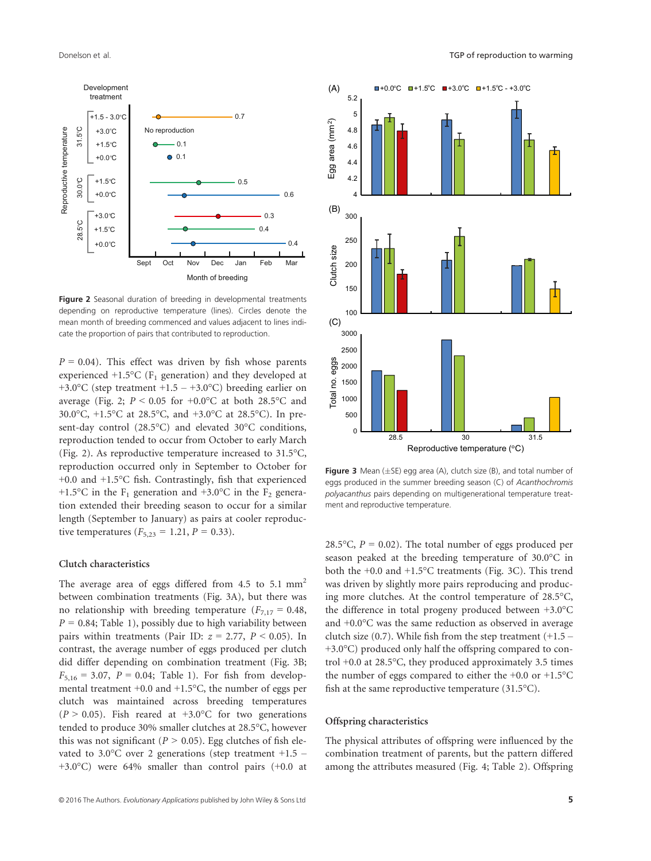

Figure 2 Seasonal duration of breeding in developmental treatments depending on reproductive temperature (lines). Circles denote the mean month of breeding commenced and values adjacent to lines indicate the proportion of pairs that contributed to reproduction.

 $P = 0.04$ ). This effect was driven by fish whose parents experienced  $+1.5$ °C (F<sub>1</sub> generation) and they developed at +3.0°C (step treatment +1.5 – +3.0°C) breeding earlier on average (Fig. 2;  $P < 0.05$  for  $+0.0$ °C at both 28.5°C and 30.0°C, +1.5°C at 28.5°C, and +3.0°C at 28.5°C). In present-day control (28.5°C) and elevated 30°C conditions, reproduction tended to occur from October to early March (Fig. 2). As reproductive temperature increased to 31.5°C, reproduction occurred only in September to October for +0.0 and +1.5°C fish. Contrastingly, fish that experienced +1.5°C in the  $F_1$  generation and +3.0°C in the  $F_2$  generation extended their breeding season to occur for a similar length (September to January) as pairs at cooler reproductive temperatures  $(F_{5,23} = 1.21, P = 0.33)$ .

#### Clutch characteristics

The average area of eggs differed from  $4.5$  to  $5.1$  mm<sup>2</sup> between combination treatments (Fig. 3A), but there was no relationship with breeding temperature ( $F_{7,17} = 0.48$ ,  $P = 0.84$ ; Table 1), possibly due to high variability between pairs within treatments (Pair ID:  $z = 2.77$ ,  $P < 0.05$ ). In contrast, the average number of eggs produced per clutch did differ depending on combination treatment (Fig. 3B;  $F_{5,16} = 3.07$ ,  $P = 0.04$ ; Table 1). For fish from developmental treatment +0.0 and +1.5°C, the number of eggs per clutch was maintained across breeding temperatures  $(P > 0.05)$ . Fish reared at +3.0°C for two generations tended to produce 30% smaller clutches at 28.5°C, however this was not significant ( $P > 0.05$ ). Egg clutches of fish elevated to 3.0 $\degree$ C over 2 generations (step treatment +1.5 – +3.0°C) were 64% smaller than control pairs (+0.0 at



**Figure 3** Mean ( $\pm$ SE) egg area (A), clutch size (B), and total number of eggs produced in the summer breeding season (C) of Acanthochromis polyacanthus pairs depending on multigenerational temperature treatment and reproductive temperature.

28.5 $\degree$ C,  $P = 0.02$ ). The total number of eggs produced per season peaked at the breeding temperature of 30.0°C in both the +0.0 and +1.5°C treatments (Fig. 3C). This trend was driven by slightly more pairs reproducing and producing more clutches. At the control temperature of 28.5°C, the difference in total progeny produced between +3.0°C and +0.0°C was the same reduction as observed in average clutch size  $(0.7)$ . While fish from the step treatment  $(+1.5 -$ +3.0°C) produced only half the offspring compared to control +0.0 at 28.5°C, they produced approximately 3.5 times the number of eggs compared to either the +0.0 or +1.5°C fish at the same reproductive temperature (31.5°C).

# Offspring characteristics

The physical attributes of offspring were influenced by the combination treatment of parents, but the pattern differed among the attributes measured (Fig. 4; Table 2). Offspring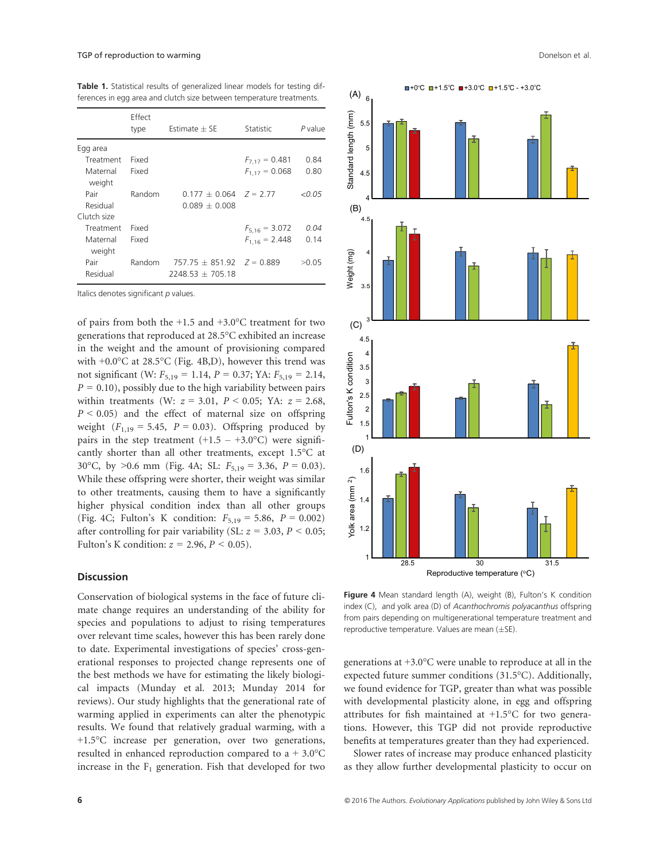Table 1. Statistical results of generalized linear models for testing differences in egg area and clutch size between temperature treatments.

|                    | Effect<br>type | Estimate $\pm$ SE                                     | Statistic          | P value |
|--------------------|----------------|-------------------------------------------------------|--------------------|---------|
| Egg area           |                |                                                       |                    |         |
| Treatment          | Fixed          |                                                       | $F_{7.17} = 0.481$ | 0.84    |
| Maternal<br>weight | Fixed          |                                                       | $F_{1.17} = 0.068$ | 0.80    |
| Pair               | Random         | $0.177 + 0.064$ $Z = 2.77$                            |                    | < 0.05  |
| Residual           |                | $0.089 + 0.008$                                       |                    |         |
| Clutch size        |                |                                                       |                    |         |
| Treatment          | Fixed          |                                                       | $F_{5,16} = 3.072$ | 0.04    |
| Maternal<br>weight | Fixed          |                                                       | $F_{1,16} = 2.448$ | 0.14    |
| Pair<br>Residual   | Random         | $757.75 + 851.92$ $Z = 0.889$<br>$2248.53 \pm 705.18$ |                    | >0.05   |
|                    |                |                                                       |                    |         |

Italics denotes significant  $p$  values.

of pairs from both the +1.5 and +3.0°C treatment for two generations that reproduced at 28.5°C exhibited an increase in the weight and the amount of provisioning compared with +0.0°C at 28.5°C (Fig. 4B,D), however this trend was not significant (W:  $F_{5,19} = 1.14$ ,  $P = 0.37$ ; YA:  $F_{5,19} = 2.14$ ,  $P = 0.10$ , possibly due to the high variability between pairs within treatments (W:  $z = 3.01$ ,  $P < 0.05$ ; YA:  $z = 2.68$ ,  $P < 0.05$ ) and the effect of maternal size on offspring weight  $(F_{1,19} = 5.45, P = 0.03)$ . Offspring produced by pairs in the step treatment  $(+1.5 - +3.0^{\circ}C)$  were significantly shorter than all other treatments, except 1.5°C at 30°C, by >0.6 mm (Fig. 4A; SL:  $F_{5,19} = 3.36$ ,  $P = 0.03$ ). While these offspring were shorter, their weight was similar to other treatments, causing them to have a significantly higher physical condition index than all other groups (Fig. 4C; Fulton's K condition:  $F_{5,19} = 5.86$ ,  $P = 0.002$ ) after controlling for pair variability (SL:  $z = 3.03$ ,  $P < 0.05$ ; Fulton's K condition:  $z = 2.96$ ,  $P \le 0.05$ ).

## **Discussion**

Conservation of biological systems in the face of future climate change requires an understanding of the ability for species and populations to adjust to rising temperatures over relevant time scales, however this has been rarely done to date. Experimental investigations of species' cross-generational responses to projected change represents one of the best methods we have for estimating the likely biological impacts (Munday et al. 2013; Munday 2014 for reviews). Our study highlights that the generational rate of warming applied in experiments can alter the phenotypic results. We found that relatively gradual warming, with a +1.5°C increase per generation, over two generations, resulted in enhanced reproduction compared to  $a + 3.0^{\circ}$ C increase in the  $F_1$  generation. Fish that developed for two



Figure 4 Mean standard length (A), weight (B), Fulton's K condition index (C), and yolk area (D) of Acanthochromis polyacanthus offspring from pairs depending on multigenerational temperature treatment and reproductive temperature. Values are mean  $(\pm S$ E).

generations at +3.0°C were unable to reproduce at all in the expected future summer conditions (31.5°C). Additionally, we found evidence for TGP, greater than what was possible with developmental plasticity alone, in egg and offspring attributes for fish maintained at +1.5°C for two generations. However, this TGP did not provide reproductive benefits at temperatures greater than they had experienced.

Slower rates of increase may produce enhanced plasticity as they allow further developmental plasticity to occur on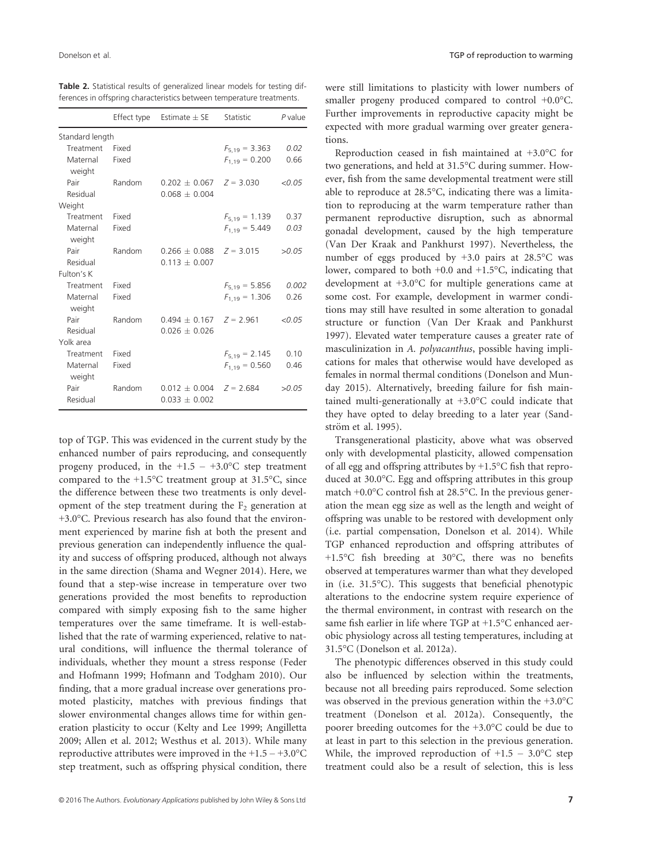Table 2. Statistical results of generalized linear models for testing differences in offspring characteristics between temperature treatments.

|                    | Effect type | Estimate $\pm$ SE             | Statistic          | P value |
|--------------------|-------------|-------------------------------|--------------------|---------|
| Standard length    |             |                               |                    |         |
| Treatment          | Fixed       |                               | $F_{5,19} = 3.363$ | 0.02    |
| Maternal<br>weight | Fixed       |                               | $F_{1,19} = 0.200$ | 0.66    |
| Pair               | Random      | $0.202 \pm 0.067$ $Z = 3.030$ |                    | < 0.05  |
| Residual           |             | $0.068 \pm 0.004$             |                    |         |
| Weight             |             |                               |                    |         |
| Treatment Fixed    |             |                               | $F_{5,19} = 1.139$ | 0.37    |
| Maternal<br>weight | Fixed       |                               | $F_{1,19} = 5.449$ | 0.03    |
| Pair               | Random      | $0.266 \pm 0.088$ $Z = 3.015$ |                    | >0.05   |
| Residual           |             | $0.113 + 0.007$               |                    |         |
| Fulton's K         |             |                               |                    |         |
| Treatment          | Fixed       |                               | $F_{5,19} = 5.856$ | 0.002   |
| Maternal<br>weight | Fixed       |                               | $F_{1,19} = 1.306$ | 0.26    |
| Pair               | Random      | $0.494 + 0.167$ $Z = 2.961$   |                    | < 0.05  |
| Residual           |             | $0.026 + 0.026$               |                    |         |
| Yolk area          |             |                               |                    |         |
| Treatment          | Fixed       |                               | $F_{5,19} = 2.145$ | 0.10    |
| Maternal<br>weight | Fixed       |                               | $F_{1,19} = 0.560$ | 0.46    |
| Pair               | Random      | $0.012 \pm 0.004$             | $Z = 2.684$        | >0.05   |
| Residual           |             | $0.033 \pm 0.002$             |                    |         |

top of TGP. This was evidenced in the current study by the enhanced number of pairs reproducing, and consequently progeny produced, in the  $+1.5 - +3.0$ °C step treatment compared to the +1.5°C treatment group at 31.5°C, since the difference between these two treatments is only development of the step treatment during the  $F<sub>2</sub>$  generation at +3.0°C. Previous research has also found that the environment experienced by marine fish at both the present and previous generation can independently influence the quality and success of offspring produced, although not always in the same direction (Shama and Wegner 2014). Here, we found that a step-wise increase in temperature over two generations provided the most benefits to reproduction compared with simply exposing fish to the same higher temperatures over the same timeframe. It is well-established that the rate of warming experienced, relative to natural conditions, will influence the thermal tolerance of individuals, whether they mount a stress response (Feder and Hofmann 1999; Hofmann and Todgham 2010). Our finding, that a more gradual increase over generations promoted plasticity, matches with previous findings that slower environmental changes allows time for within generation plasticity to occur (Kelty and Lee 1999; Angilletta 2009; Allen et al. 2012; Westhus et al. 2013). While many reproductive attributes were improved in the  $+1.5 - +3.0$ °C step treatment, such as offspring physical condition, there

were still limitations to plasticity with lower numbers of smaller progeny produced compared to control +0.0°C. Further improvements in reproductive capacity might be expected with more gradual warming over greater generations.

Reproduction ceased in fish maintained at +3.0°C for two generations, and held at 31.5°C during summer. However, fish from the same developmental treatment were still able to reproduce at 28.5°C, indicating there was a limitation to reproducing at the warm temperature rather than permanent reproductive disruption, such as abnormal gonadal development, caused by the high temperature (Van Der Kraak and Pankhurst 1997). Nevertheless, the number of eggs produced by +3.0 pairs at 28.5°C was lower, compared to both +0.0 and +1.5°C, indicating that development at +3.0°C for multiple generations came at some cost. For example, development in warmer conditions may still have resulted in some alteration to gonadal structure or function (Van Der Kraak and Pankhurst 1997). Elevated water temperature causes a greater rate of masculinization in A. polyacanthus, possible having implications for males that otherwise would have developed as females in normal thermal conditions (Donelson and Munday 2015). Alternatively, breeding failure for fish maintained multi-generationally at +3.0°C could indicate that they have opted to delay breeding to a later year (Sandström et al. 1995).

Transgenerational plasticity, above what was observed only with developmental plasticity, allowed compensation of all egg and offspring attributes by  $+1.5$ °C fish that reproduced at 30.0°C. Egg and offspring attributes in this group match +0.0°C control fish at 28.5°C. In the previous generation the mean egg size as well as the length and weight of offspring was unable to be restored with development only (i.e. partial compensation, Donelson et al. 2014). While TGP enhanced reproduction and offspring attributes of +1.5°C fish breeding at 30°C, there was no benefits observed at temperatures warmer than what they developed in (i.e. 31.5°C). This suggests that beneficial phenotypic alterations to the endocrine system require experience of the thermal environment, in contrast with research on the same fish earlier in life where TGP at +1.5°C enhanced aerobic physiology across all testing temperatures, including at 31.5°C (Donelson et al. 2012a).

The phenotypic differences observed in this study could also be influenced by selection within the treatments, because not all breeding pairs reproduced. Some selection was observed in the previous generation within the +3.0°C treatment (Donelson et al. 2012a). Consequently, the poorer breeding outcomes for the +3.0°C could be due to at least in part to this selection in the previous generation. While, the improved reproduction of  $+1.5 - 3.0^{\circ}$ C step treatment could also be a result of selection, this is less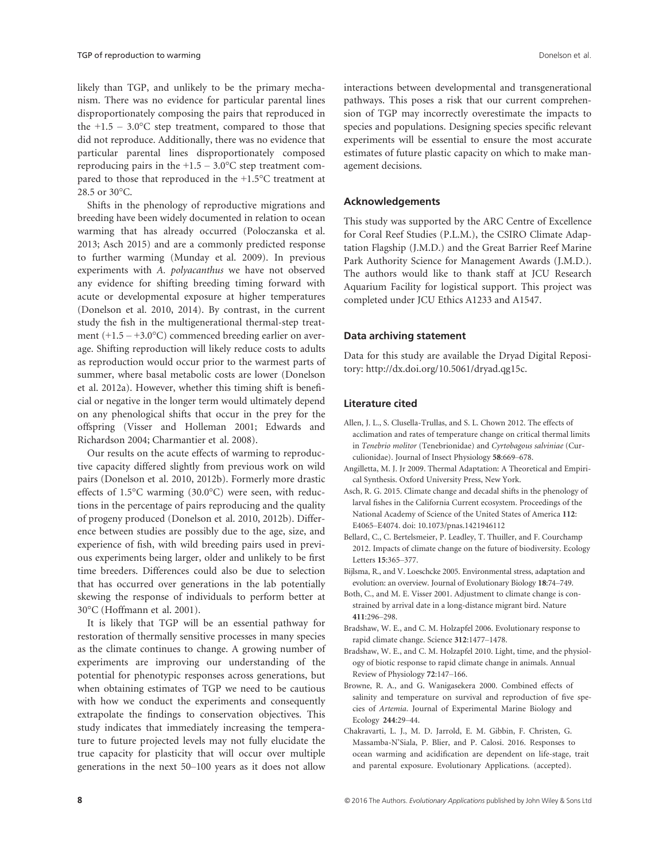likely than TGP, and unlikely to be the primary mechanism. There was no evidence for particular parental lines disproportionately composing the pairs that reproduced in the  $+1.5 - 3.0$ °C step treatment, compared to those that did not reproduce. Additionally, there was no evidence that particular parental lines disproportionately composed reproducing pairs in the  $+1.5 - 3.0$ °C step treatment compared to those that reproduced in the +1.5°C treatment at 28.5 or 30°C.

Shifts in the phenology of reproductive migrations and breeding have been widely documented in relation to ocean warming that has already occurred (Poloczanska et al. 2013; Asch 2015) and are a commonly predicted response to further warming (Munday et al. 2009). In previous experiments with A. polyacanthus we have not observed any evidence for shifting breeding timing forward with acute or developmental exposure at higher temperatures (Donelson et al. 2010, 2014). By contrast, in the current study the fish in the multigenerational thermal-step treatment  $(+1.5 - +3.0^{\circ}C)$  commenced breeding earlier on average. Shifting reproduction will likely reduce costs to adults as reproduction would occur prior to the warmest parts of summer, where basal metabolic costs are lower (Donelson et al. 2012a). However, whether this timing shift is beneficial or negative in the longer term would ultimately depend on any phenological shifts that occur in the prey for the offspring (Visser and Holleman 2001; Edwards and Richardson 2004; Charmantier et al. 2008).

Our results on the acute effects of warming to reproductive capacity differed slightly from previous work on wild pairs (Donelson et al. 2010, 2012b). Formerly more drastic effects of 1.5°C warming (30.0°C) were seen, with reductions in the percentage of pairs reproducing and the quality of progeny produced (Donelson et al. 2010, 2012b). Difference between studies are possibly due to the age, size, and experience of fish, with wild breeding pairs used in previous experiments being larger, older and unlikely to be first time breeders. Differences could also be due to selection that has occurred over generations in the lab potentially skewing the response of individuals to perform better at 30°C (Hoffmann et al. 2001).

It is likely that TGP will be an essential pathway for restoration of thermally sensitive processes in many species as the climate continues to change. A growing number of experiments are improving our understanding of the potential for phenotypic responses across generations, but when obtaining estimates of TGP we need to be cautious with how we conduct the experiments and consequently extrapolate the findings to conservation objectives. This study indicates that immediately increasing the temperature to future projected levels may not fully elucidate the true capacity for plasticity that will occur over multiple generations in the next 50–100 years as it does not allow

interactions between developmental and transgenerational pathways. This poses a risk that our current comprehension of TGP may incorrectly overestimate the impacts to species and populations. Designing species specific relevant experiments will be essential to ensure the most accurate estimates of future plastic capacity on which to make management decisions.

#### Acknowledgements

This study was supported by the ARC Centre of Excellence for Coral Reef Studies (P.L.M.), the CSIRO Climate Adaptation Flagship (J.M.D.) and the Great Barrier Reef Marine Park Authority Science for Management Awards (J.M.D.). The authors would like to thank staff at JCU Research Aquarium Facility for logistical support. This project was completed under JCU Ethics A1233 and A1547.

## Data archiving statement

Data for this study are available the Dryad Digital Repository:<http://dx.doi.org/10.5061/dryad.qg15c>.

#### Literature cited

- Allen, J. L., S. Clusella-Trullas, and S. L. Chown 2012. The effects of acclimation and rates of temperature change on critical thermal limits in Tenebrio molitor (Tenebrionidae) and Cyrtobagous salviniae (Curculionidae). Journal of Insect Physiology 58:669–678.
- Angilletta, M. J. Jr 2009. Thermal Adaptation: A Theoretical and Empirical Synthesis. Oxford University Press, New York.
- Asch, R. G. 2015. Climate change and decadal shifts in the phenology of larval fishes in the California Current ecosystem. Proceedings of the National Academy of Science of the United States of America 112: E4065–E4074. doi: [10.1073/pnas.1421946112](http://dx.doi.org/10.1073/pnas.1421946112)
- Bellard, C., C. Bertelsmeier, P. Leadley, T. Thuiller, and F. Courchamp 2012. Impacts of climate change on the future of biodiversity. Ecology Letters 15:365–377.
- Bijlsma, R., and V. Loeschcke 2005. Environmental stress, adaptation and evolution: an overview. Journal of Evolutionary Biology 18:74–749.
- Both, C., and M. E. Visser 2001. Adjustment to climate change is constrained by arrival date in a long-distance migrant bird. Nature 411:296–298.
- Bradshaw, W. E., and C. M. Holzapfel 2006. Evolutionary response to rapid climate change. Science 312:1477–1478.
- Bradshaw, W. E., and C. M. Holzapfel 2010. Light, time, and the physiology of biotic response to rapid climate change in animals. Annual Review of Physiology 72:147–166.
- Browne, R. A., and G. Wanigasekera 2000. Combined effects of salinity and temperature on survival and reproduction of five species of Artemia. Journal of Experimental Marine Biology and Ecology 244:29–44.
- Chakravarti, L. J., M. D. Jarrold, E. M. Gibbin, F. Christen, G. Massamba-N'Siala, P. Blier, and P. Calosi. 2016. Responses to ocean warming and acidification are dependent on life-stage, trait and parental exposure. Evolutionary Applications. (accepted).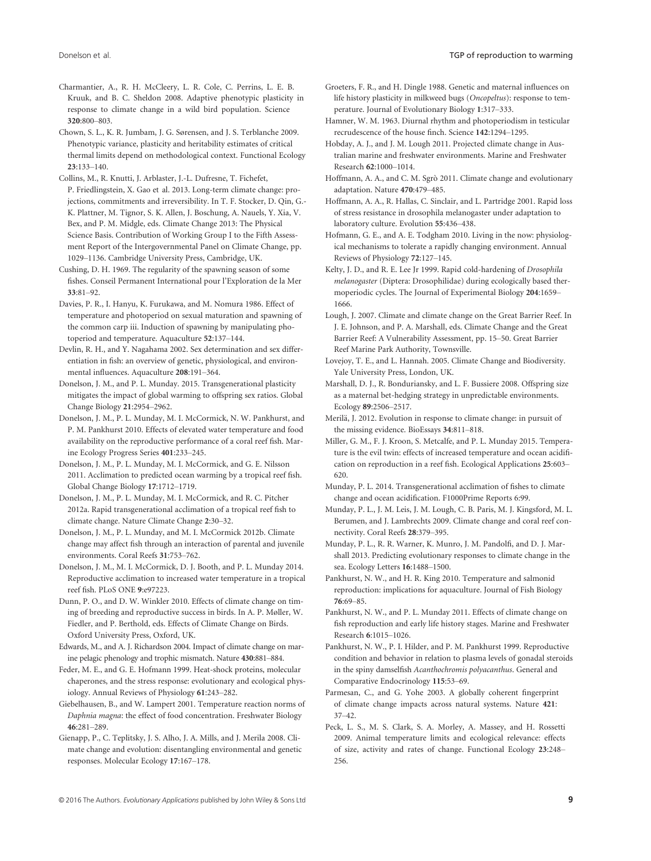Charmantier, A., R. H. McCleery, L. R. Cole, C. Perrins, L. E. B. Kruuk, and B. C. Sheldon 2008. Adaptive phenotypic plasticity in response to climate change in a wild bird population. Science 320:800–803.

Chown, S. L., K. R. Jumbam, J. G. Sørensen, and J. S. Terblanche 2009. Phenotypic variance, plasticity and heritability estimates of critical thermal limits depend on methodological context. Functional Ecology 23:133–140.

Collins, M., R. Knutti, J. Arblaster, J.-L. Dufresne, T. Fichefet, P. Friedlingstein, X. Gao et al. 2013. Long-term climate change: projections, commitments and irreversibility. In T. F. Stocker, D. Qin, G.- K. Plattner, M. Tignor, S. K. Allen, J. Boschung, A. Nauels, Y. Xia, V. Bex, and P. M. Midgle, eds. Climate Change 2013: The Physical Science Basis. Contribution of Working Group I to the Fifth Assessment Report of the Intergovernmental Panel on Climate Change, pp. 1029–1136. Cambridge University Press, Cambridge, UK.

Cushing, D. H. 1969. The regularity of the spawning season of some fishes. Conseil Permanent International pour l'Exploration de la Mer 33:81–92.

Davies, P. R., I. Hanyu, K. Furukawa, and M. Nomura 1986. Effect of temperature and photoperiod on sexual maturation and spawning of the common carp iii. Induction of spawning by manipulating photoperiod and temperature. Aquaculture 52:137–144.

Devlin, R. H., and Y. Nagahama 2002. Sex determination and sex differentiation in fish: an overview of genetic, physiological, and environmental influences. Aquaculture 208:191–364.

Donelson, J. M., and P. L. Munday. 2015. Transgenerational plasticity mitigates the impact of global warming to offspring sex ratios. Global Change Biology 21:2954–2962.

Donelson, J. M., P. L. Munday, M. I. McCormick, N. W. Pankhurst, and P. M. Pankhurst 2010. Effects of elevated water temperature and food availability on the reproductive performance of a coral reef fish. Marine Ecology Progress Series 401:233–245.

Donelson, J. M., P. L. Munday, M. I. McCormick, and G. E. Nilsson 2011. Acclimation to predicted ocean warming by a tropical reef fish. Global Change Biology 17:1712–1719.

Donelson, J. M., P. L. Munday, M. I. McCormick, and R. C. Pitcher 2012a. Rapid transgenerational acclimation of a tropical reef fish to climate change. Nature Climate Change 2:30–32.

Donelson, J. M., P. L. Munday, and M. I. McCormick 2012b. Climate change may affect fish through an interaction of parental and juvenile environments. Coral Reefs 31:753–762.

Donelson, J. M., M. I. McCormick, D. J. Booth, and P. L. Munday 2014. Reproductive acclimation to increased water temperature in a tropical reef fish. PLoS ONE 9:e97223.

Dunn, P. O., and D. W. Winkler 2010. Effects of climate change on timing of breeding and reproductive success in birds. In A. P. Møller, W. Fiedler, and P. Berthold, eds. Effects of Climate Change on Birds. Oxford University Press, Oxford, UK.

Edwards, M., and A. J. Richardson 2004. Impact of climate change on marine pelagic phenology and trophic mismatch. Nature 430:881–884.

Feder, M. E., and G. E. Hofmann 1999. Heat-shock proteins, molecular chaperones, and the stress response: evolutionary and ecological physiology. Annual Reviews of Physiology 61:243–282.

Giebelhausen, B., and W. Lampert 2001. Temperature reaction norms of Daphnia magna: the effect of food concentration. Freshwater Biology 46:281–289.

Gienapp, P., C. Teplitsky, J. S. Alho, J. A. Mills, and J. Merila 2008. Climate change and evolution: disentangling environmental and genetic responses. Molecular Ecology 17:167–178.

Groeters, F. R., and H. Dingle 1988. Genetic and maternal influences on life history plasticity in milkweed bugs (Oncopeltus): response to temperature. Journal of Evolutionary Biology 1:317–333.

- Hamner, W. M. 1963. Diurnal rhythm and photoperiodism in testicular recrudescence of the house finch. Science 142:1294–1295.
- Hobday, A. J., and J. M. Lough 2011. Projected climate change in Australian marine and freshwater environments. Marine and Freshwater Research 62:1000–1014.
- Hoffmann, A. A., and C. M. Sgrò 2011. Climate change and evolutionary adaptation. Nature 470:479–485.

Hoffmann, A. A., R. Hallas, C. Sinclair, and L. Partridge 2001. Rapid loss of stress resistance in drosophila melanogaster under adaptation to laboratory culture. Evolution 55:436–438.

Hofmann, G. E., and A. E. Todgham 2010. Living in the now: physiological mechanisms to tolerate a rapidly changing environment. Annual Reviews of Physiology 72:127–145.

Kelty, J. D., and R. E. Lee Jr 1999. Rapid cold-hardening of Drosophila melanogaster (Diptera: Drosophilidae) during ecologically based thermoperiodic cycles. The Journal of Experimental Biology 204:1659– 1666.

Lough, J. 2007. Climate and climate change on the Great Barrier Reef. In J. E. Johnson, and P. A. Marshall, eds. Climate Change and the Great Barrier Reef: A Vulnerability Assessment, pp. 15–50. Great Barrier Reef Marine Park Authority, Townsville.

Lovejoy, T. E., and L. Hannah. 2005. Climate Change and Biodiversity. Yale University Press, London, UK.

Marshall, D. J., R. Bonduriansky, and L. F. Bussiere 2008. Offspring size as a maternal bet-hedging strategy in unpredictable environments. Ecology 89:2506–2517.

Merilä, J. 2012. Evolution in response to climate change: in pursuit of the missing evidence. BioEssays 34:811–818.

Miller, G. M., F. J. Kroon, S. Metcalfe, and P. L. Munday 2015. Temperature is the evil twin: effects of increased temperature and ocean acidification on reproduction in a reef fish. Ecological Applications 25:603– 620.

- Munday, P. L. 2014. Transgenerational acclimation of fishes to climate change and ocean acidification. F1000Prime Reports 6:99.
- Munday, P. L., J. M. Leis, J. M. Lough, C. B. Paris, M. J. Kingsford, M. L. Berumen, and J. Lambrechts 2009. Climate change and coral reef connectivity. Coral Reefs 28:379–395.
- Munday, P. L., R. R. Warner, K. Munro, J. M. Pandolfi, and D. J. Marshall 2013. Predicting evolutionary responses to climate change in the sea. Ecology Letters 16:1488–1500.

Pankhurst, N. W., and H. R. King 2010. Temperature and salmonid reproduction: implications for aquaculture. Journal of Fish Biology 76:69–85.

Pankhurst, N. W., and P. L. Munday 2011. Effects of climate change on fish reproduction and early life history stages. Marine and Freshwater Research 6:1015–1026.

Pankhurst, N. W., P. I. Hilder, and P. M. Pankhurst 1999. Reproductive condition and behavior in relation to plasma levels of gonadal steroids in the spiny damselfish Acanthochromis polyacanthus. General and Comparative Endocrinology 115:53–69.

Parmesan, C., and G. Yohe 2003. A globally coherent fingerprint of climate change impacts across natural systems. Nature 421: 37–42.

Peck, L. S., M. S. Clark, S. A. Morley, A. Massey, and H. Rossetti 2009. Animal temperature limits and ecological relevance: effects of size, activity and rates of change. Functional Ecology 23:248– 256.